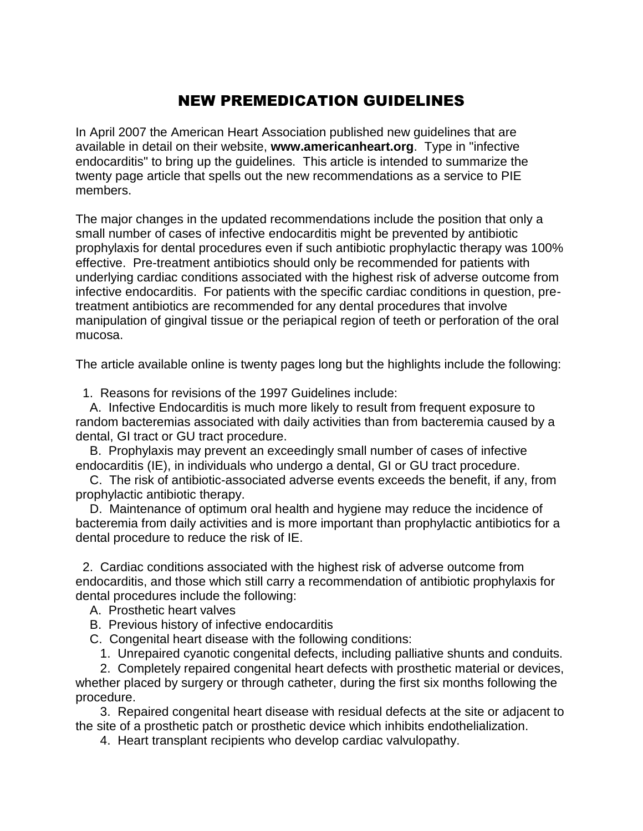## NEW PREMEDICATION GUIDELINES

In April 2007 the American Heart Association published new guidelines that are available in detail on their website, **www.americanheart.org**. Type in "infective endocarditis" to bring up the guidelines. This article is intended to summarize the twenty page article that spells out the new recommendations as a service to PIE members.

The major changes in the updated recommendations include the position that only a small number of cases of infective endocarditis might be prevented by antibiotic prophylaxis for dental procedures even if such antibiotic prophylactic therapy was 100% effective. Pre-treatment antibiotics should only be recommended for patients with underlying cardiac conditions associated with the highest risk of adverse outcome from infective endocarditis. For patients with the specific cardiac conditions in question, pretreatment antibiotics are recommended for any dental procedures that involve manipulation of gingival tissue or the periapical region of teeth or perforation of the oral mucosa.

The article available online is twenty pages long but the highlights include the following:

1. Reasons for revisions of the 1997 Guidelines include:

 A. Infective Endocarditis is much more likely to result from frequent exposure to random bacteremias associated with daily activities than from bacteremia caused by a dental, GI tract or GU tract procedure.

 B. Prophylaxis may prevent an exceedingly small number of cases of infective endocarditis (IE), in individuals who undergo a dental, GI or GU tract procedure.

 C. The risk of antibiotic-associated adverse events exceeds the benefit, if any, from prophylactic antibiotic therapy.

 D. Maintenance of optimum oral health and hygiene may reduce the incidence of bacteremia from daily activities and is more important than prophylactic antibiotics for a dental procedure to reduce the risk of IE.

 2. Cardiac conditions associated with the highest risk of adverse outcome from endocarditis, and those which still carry a recommendation of antibiotic prophylaxis for dental procedures include the following:

- A. Prosthetic heart valves
- B. Previous history of infective endocarditis
- C. Congenital heart disease with the following conditions:
	- 1. Unrepaired cyanotic congenital defects, including palliative shunts and conduits.

 2. Completely repaired congenital heart defects with prosthetic material or devices, whether placed by surgery or through catheter, during the first six months following the procedure.

 3. Repaired congenital heart disease with residual defects at the site or adjacent to the site of a prosthetic patch or prosthetic device which inhibits endothelialization.

4. Heart transplant recipients who develop cardiac valvulopathy.